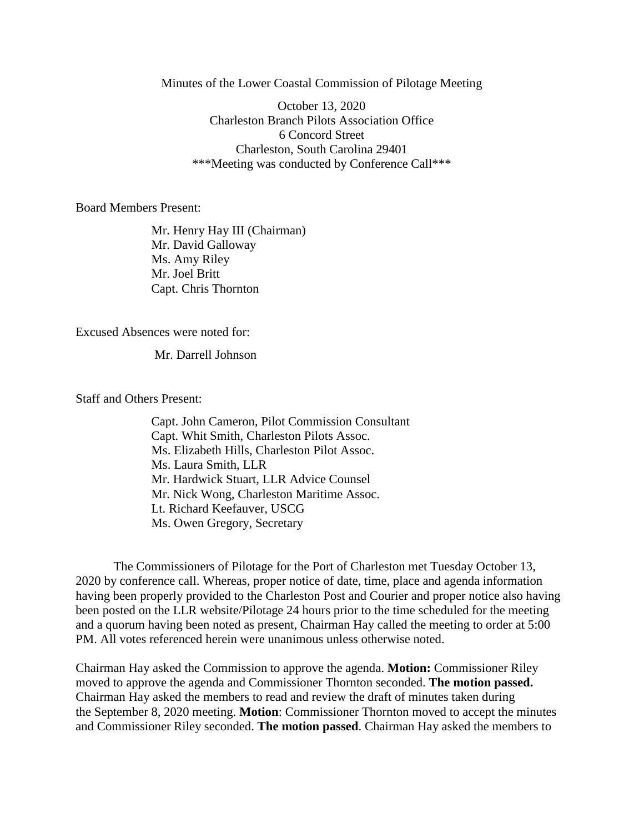Minutes of the Lower Coastal Commission of Pilotage Meeting

October 13, 2020 Charleston Branch Pilots Association Office 6 Concord Street Charleston, South Carolina 29401 \*\*\*Meeting was conducted by Conference Call\*\*\*

Board Members Present:

Mr. Henry Hay III (Chairman) Mr. David Galloway Ms. Amy Riley Mr. Joel Britt Capt. Chris Thornton

Excused Absences were noted for:

Mr. Darrell Johnson

Staff and Others Present:

Capt. John Cameron, Pilot Commission Consultant Capt. Whit Smith, Charleston Pilots Assoc. Ms. Elizabeth Hills, Charleston Pilot Assoc. Ms. Laura Smith, LLR Mr. Hardwick Stuart, LLR Advice Counsel Mr. Nick Wong, Charleston Maritime Assoc. Lt. Richard Keefauver, USCG Ms. Owen Gregory, Secretary

The Commissioners of Pilotage for the Port of Charleston met Tuesday October 13, 2020 by conference call. Whereas, proper notice of date, time, place and agenda information having been properly provided to the Charleston Post and Courier and proper notice also having been posted on the LLR website/Pilotage 24 hours prior to the time scheduled for the meeting and a quorum having been noted as present, Chairman Hay called the meeting to order at 5:00 PM. All votes referenced herein were unanimous unless otherwise noted.

Chairman Hay asked the Commission to approve the agenda. **Motion:** Commissioner Riley moved to approve the agenda and Commissioner Thornton seconded. **The motion passed.** Chairman Hay asked the members to read and review the draft of minutes taken during the September 8, 2020 meeting. **Motion**: Commissioner Thornton moved to accept the minutes and Commissioner Riley seconded. **The motion passed**. Chairman Hay asked the members to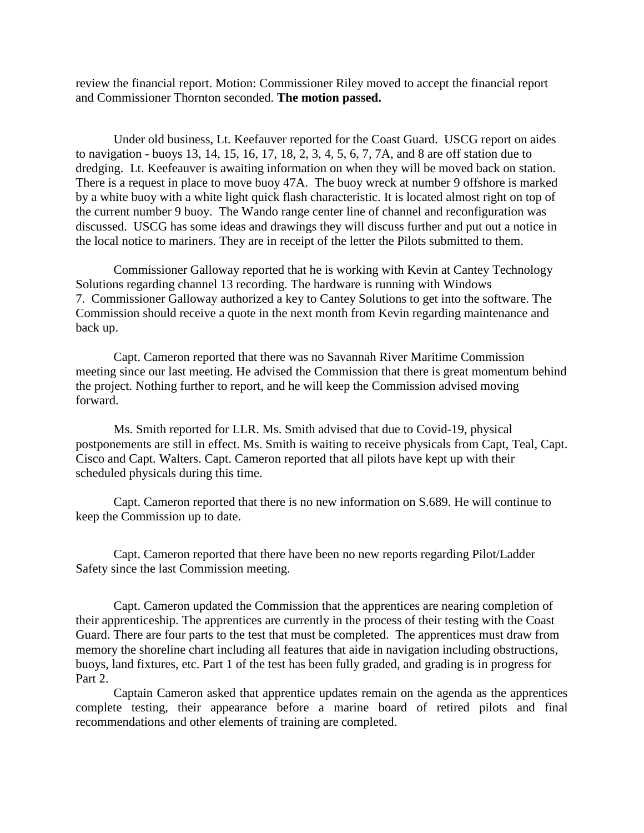review the financial report. Motion: Commissioner Riley moved to accept the financial report and Commissioner Thornton seconded. **The motion passed.**

Under old business, Lt. Keefauver reported for the Coast Guard. USCG report on aides to navigation - buoys 13, 14, 15, 16, 17, 18, 2, 3, 4, 5, 6, 7, 7A, and 8 are off station due to dredging. Lt. Keefeauver is awaiting information on when they will be moved back on station. There is a request in place to move buoy 47A. The buoy wreck at number 9 offshore is marked by a white buoy with a white light quick flash characteristic. It is located almost right on top of the current number 9 buoy. The Wando range center line of channel and reconfiguration was discussed. USCG has some ideas and drawings they will discuss further and put out a notice in the local notice to mariners. They are in receipt of the letter the Pilots submitted to them.

Commissioner Galloway reported that he is working with Kevin at Cantey Technology Solutions regarding channel 13 recording. The hardware is running with Windows 7. Commissioner Galloway authorized a key to Cantey Solutions to get into the software. The Commission should receive a quote in the next month from Kevin regarding maintenance and back up.

Capt. Cameron reported that there was no Savannah River Maritime Commission meeting since our last meeting. He advised the Commission that there is great momentum behind the project. Nothing further to report, and he will keep the Commission advised moving forward.

Ms. Smith reported for LLR. Ms. Smith advised that due to Covid-19, physical postponements are still in effect. Ms. Smith is waiting to receive physicals from Capt, Teal, Capt. Cisco and Capt. Walters. Capt. Cameron reported that all pilots have kept up with their scheduled physicals during this time.

Capt. Cameron reported that there is no new information on S.689. He will continue to keep the Commission up to date.

Capt. Cameron reported that there have been no new reports regarding Pilot/Ladder Safety since the last Commission meeting.

Capt. Cameron updated the Commission that the apprentices are nearing completion of their apprenticeship. The apprentices are currently in the process of their testing with the Coast Guard. There are four parts to the test that must be completed. The apprentices must draw from memory the shoreline chart including all features that aide in navigation including obstructions, buoys, land fixtures, etc. Part 1 of the test has been fully graded, and grading is in progress for Part 2.

Captain Cameron asked that apprentice updates remain on the agenda as the apprentices complete testing, their appearance before a marine board of retired pilots and final recommendations and other elements of training are completed.